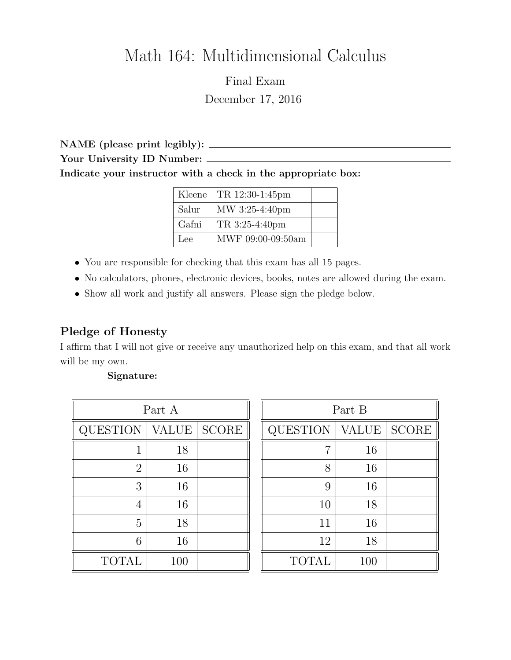# Math 164: Multidimensional Calculus

Final Exam December 17, 2016

NAME (please print legibly): Your University ID Number: Indicate your instructor with a check in the appropriate box:

|       | Kleene TR $12:30-1:45$ pm |  |
|-------|---------------------------|--|
| Salur | MW 3:25-4:40pm            |  |
| Gafni | TR 3:25-4:40pm            |  |
| Lee   | MWF 09:00-09:50am         |  |

- You are responsible for checking that this exam has all 15 pages.
- No calculators, phones, electronic devices, books, notes are allowed during the exam.
- Show all work and justify all answers. Please sign the pledge below.

### Pledge of Honesty

I affirm that I will not give or receive any unauthorized help on this exam, and that all work will be my own.

| Part A          |              |              |  |
|-----------------|--------------|--------------|--|
| <b>QUESTION</b> | <b>VALUE</b> | <b>SCORE</b> |  |
|                 | 18           |              |  |
| $\overline{2}$  | 16           |              |  |
| 3               | 16           |              |  |
|                 | 16           |              |  |
| 5               | 18           |              |  |
| 6               | 16           |              |  |
| <b>TOTAL</b>    | 100          |              |  |

| Part B       |              |              |  |  |
|--------------|--------------|--------------|--|--|
| QUESTION     | <b>VALUE</b> | <b>SCORE</b> |  |  |
| 7            | 16           |              |  |  |
| 8            | 16           |              |  |  |
| 9            | 16           |              |  |  |
| 10           | 18           |              |  |  |
| 11           | 16           |              |  |  |
| 12           | 18           |              |  |  |
| <b>TOTAL</b> | 100          |              |  |  |

#### Signature: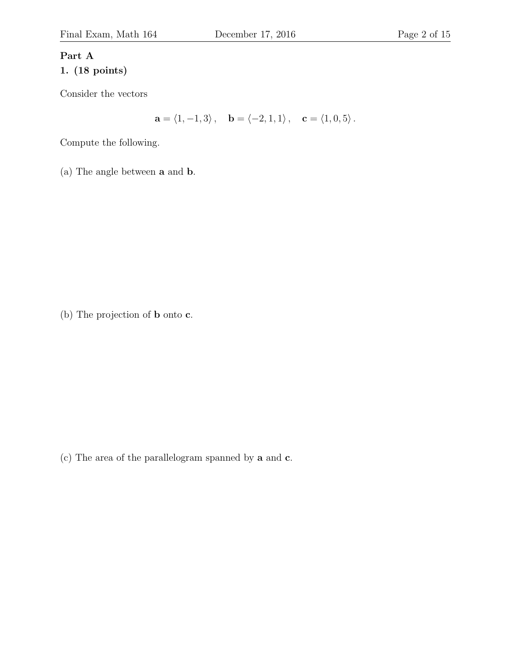## Part A 1. (18 points)

Consider the vectors

 $\mathbf{a} = \langle 1, -1, 3 \rangle, \quad \mathbf{b} = \langle -2, 1, 1 \rangle, \quad \mathbf{c} = \langle 1, 0, 5 \rangle.$ 

Compute the following.

(a) The angle between a and b.

(b) The projection of b onto c.

(c) The area of the parallelogram spanned by a and c.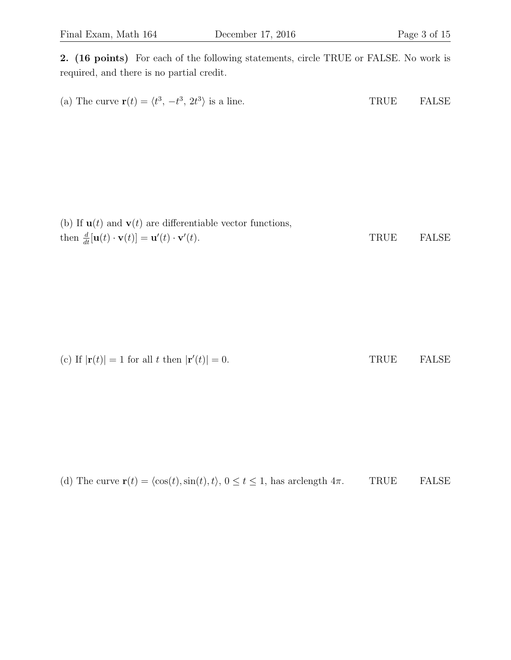2. (16 points) For each of the following statements, circle TRUE or FALSE. No work is required, and there is no partial credit.

(a) The curve  $\mathbf{r}(t) = \langle t^3, -t^3, 2t^3 \rangle$  is a line. TRUE FALSE

(b) If  $\mathbf{u}(t)$  and  $\mathbf{v}(t)$  are differentiable vector functions, then  $\frac{d}{dt}[\mathbf{u}(t)\cdot \mathbf{v}(t)] = \mathbf{u}'(t)\cdot \mathbf{v}'$ TRUE FALSE

(c) If 
$$
|\mathbf{r}(t)| = 1
$$
 for all  $t$  then  $|\mathbf{r}'(t)| = 0$ .  
TRUE  $\qquad$  FALSE

(d) The curve  $\mathbf{r}(t) = \langle \cos(t), \sin(t), t \rangle$ ,  $0 \le t \le 1$ , has arclength  $4\pi$ . TRUE FALSE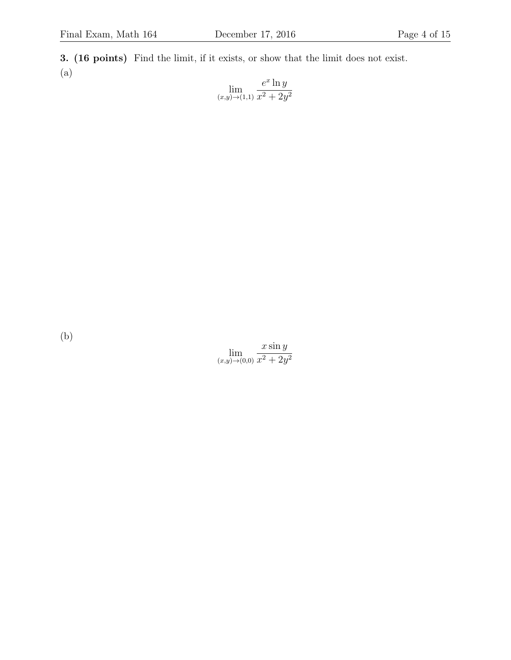3. (16 points) Find the limit, if it exists, or show that the limit does not exist. (a)

$$
\lim_{(x,y)\to(1,1)}\frac{e^x \ln y}{x^2 + 2y^2}
$$

(b)

 $\lim_{(x,y)\to(0,0)}$  $x \sin y$  $x^2 + 2y^2$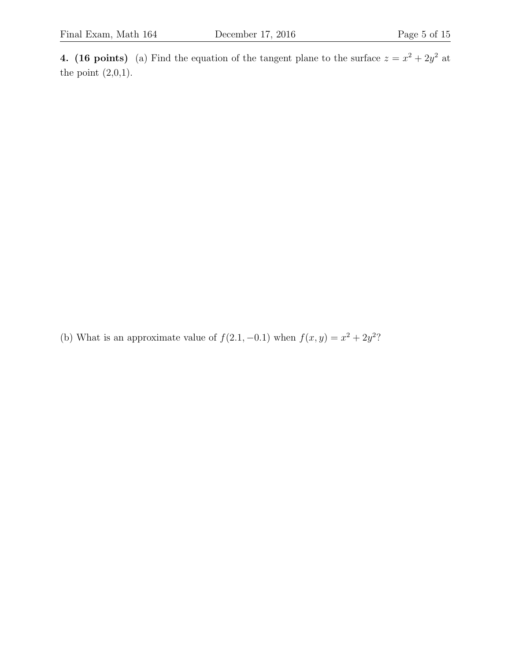4. (16 points) (a) Find the equation of the tangent plane to the surface  $z = x^2 + 2y^2$  at the point  $(2,0,1)$ .

(b) What is an approximate value of  $f(2.1, -0.1)$  when  $f(x, y) = x^2 + 2y^2$ ?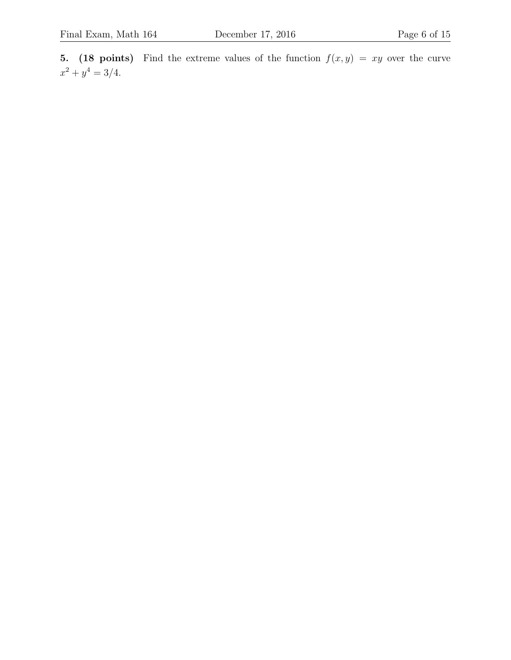5. (18 points) Find the extreme values of the function  $f(x, y) = xy$  over the curve  $x^2 + y^4 = 3/4.$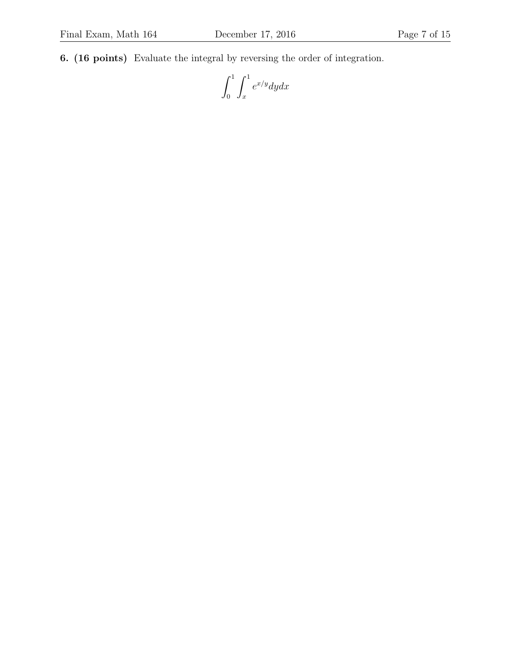6. (16 points) Evaluate the integral by reversing the order of integration.

 $\int_1^1$ 0  $\int_1^1$ x  $e^{x/y}dydx$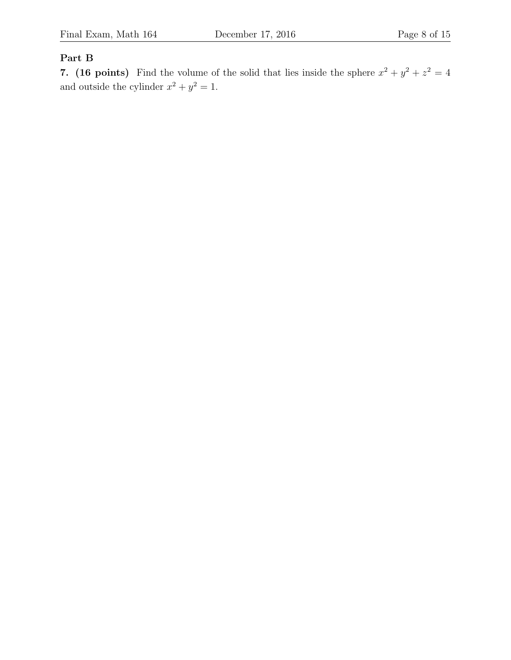#### Part B

7. (16 points) Find the volume of the solid that lies inside the sphere  $x^2 + y^2 + z^2 = 4$ and outside the cylinder  $x^2 + y^2 = 1$ .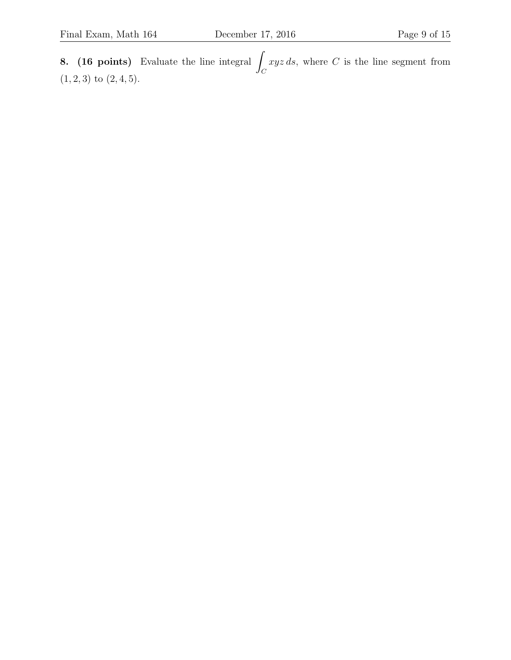8.  $(16 \text{ points})$  Evaluate the line integral  $\beta$  $\mathcal{C}_{0}^{(n)}$  $xyz ds$ , where C is the line segment from  $(1, 2, 3)$  to  $(2, 4, 5)$ .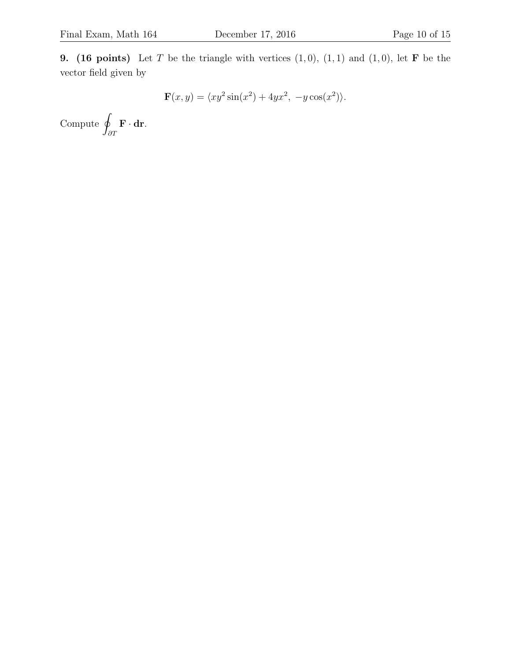9. (16 points) Let T be the triangle with vertices  $(1,0)$ ,  $(1,1)$  and  $(1,0)$ , let **F** be the vector field given by

$$
\mathbf{F}(x, y) = \langle xy^2 \sin(x^2) + 4yx^2, -y \cos(x^2) \rangle.
$$

 $Compute q$ ∂T  $\mathbf{F} \cdot \mathbf{dr}$ .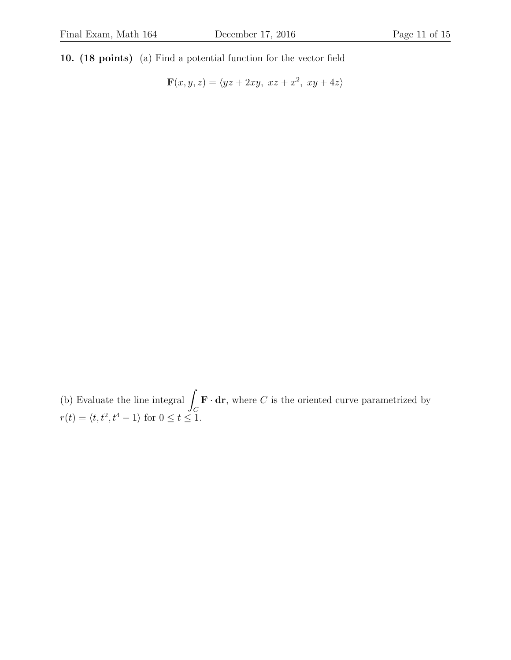10. (18 points) (a) Find a potential function for the vector field

 $\mathbf{F}(x, y, z) = \langle yz + 2xy, xz + x^2, xy + 4z \rangle$ 

(b) Evaluate the line integral  $\int$  $\mathcal{C}_{0}^{0}$  $\mathbf{F} \cdot \mathbf{dr}$ , where C is the oriented curve parametrized by  $r(t) = \langle t, t^2, t^4 - 1 \rangle$  for  $0 \le t \le 1$ .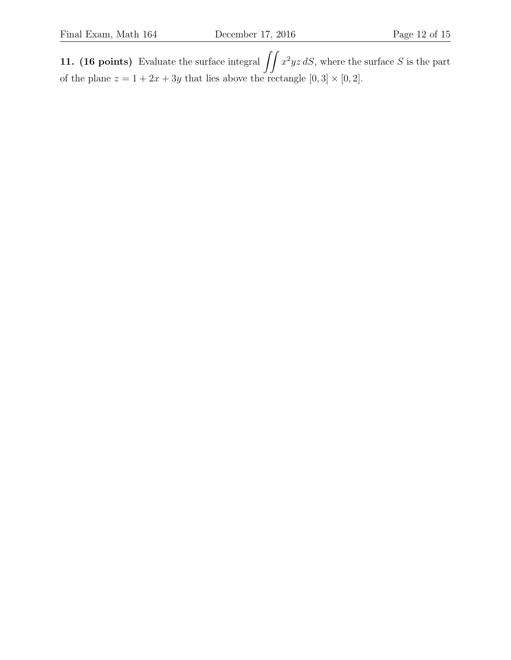**11.** (16 points) Evaluate the surface integral  $\iint x^2yz dS$ , where the surface S is the part of the plane  $z = 1 + 2x + 3y$  that lies above the rectangle  $[0, 3] \times [0, 2]$ .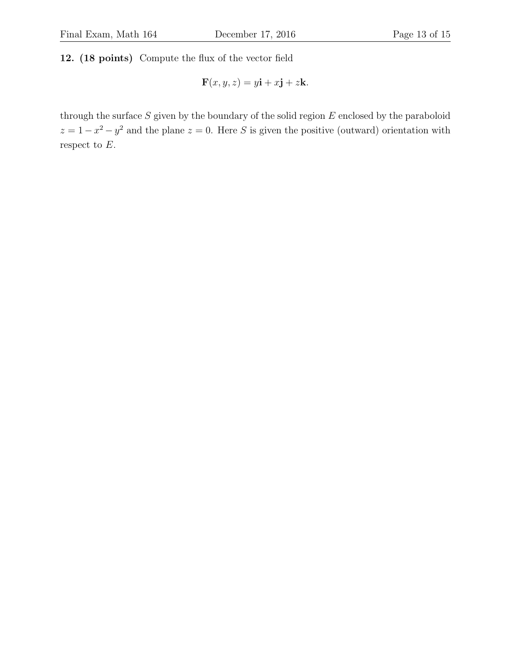12. (18 points) Compute the flux of the vector field

$$
\mathbf{F}(x, y, z) = y\mathbf{i} + x\mathbf{j} + z\mathbf{k}.
$$

through the surface  $S$  given by the boundary of the solid region  $E$  enclosed by the paraboloid  $z = 1 - x^2 - y^2$  and the plane  $z = 0$ . Here S is given the positive (outward) orientation with respect to  $E$ .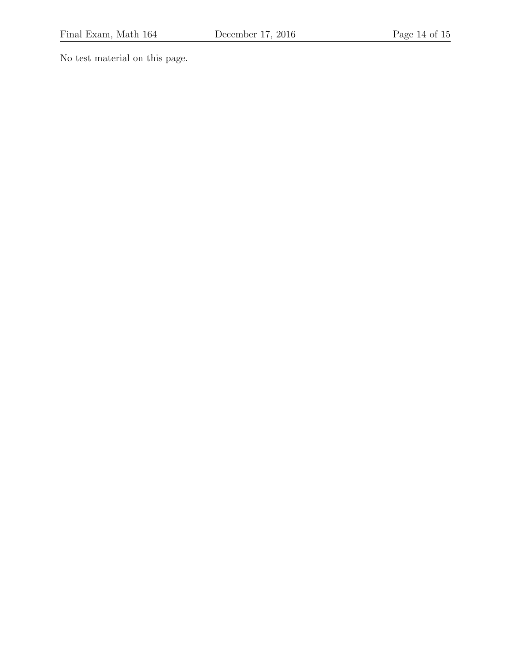No test material on this page.